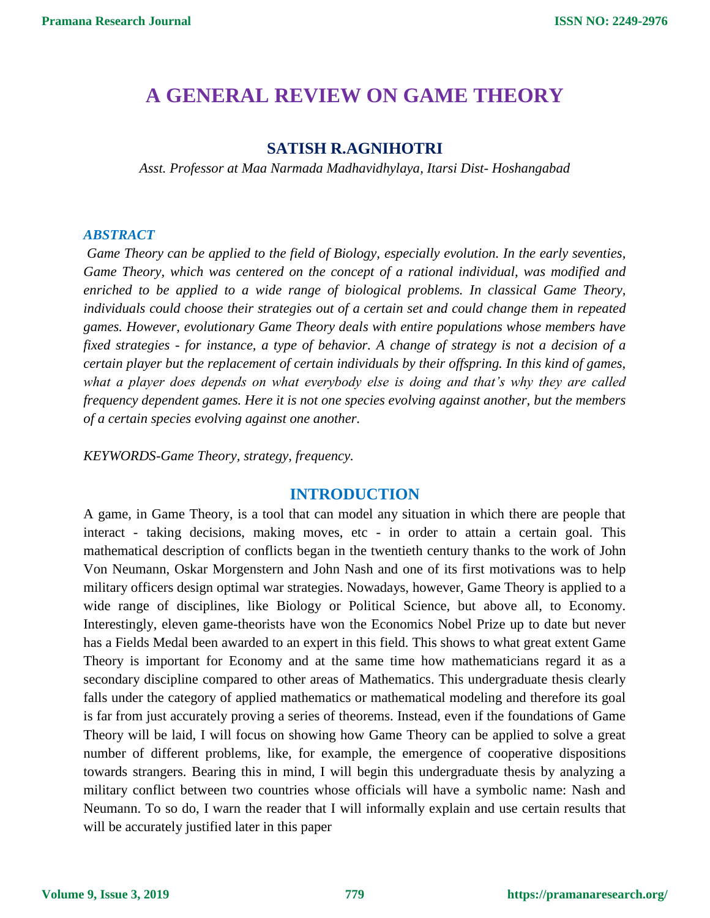# **A GENERAL REVIEW ON GAME THEORY**

# **SATISH R.AGNIHOTRI**

*Asst. Professor at Maa Narmada Madhavidhylaya, Itarsi Dist- Hoshangabad*

#### *ABSTRACT*

*Game Theory can be applied to the field of Biology, especially evolution. In the early seventies, Game Theory, which was centered on the concept of a rational individual, was modified and enriched to be applied to a wide range of biological problems. In classical Game Theory, individuals could choose their strategies out of a certain set and could change them in repeated games. However, evolutionary Game Theory deals with entire populations whose members have fixed strategies - for instance, a type of behavior. A change of strategy is not a decision of a certain player but the replacement of certain individuals by their offspring. In this kind of games, what a player does depends on what everybody else is doing and that's why they are called frequency dependent games. Here it is not one species evolving against another, but the members of a certain species evolving against one another.*

*KEYWORDS-Game Theory, strategy, frequency.*

## **INTRODUCTION**

A game, in Game Theory, is a tool that can model any situation in which there are people that interact - taking decisions, making moves, etc - in order to attain a certain goal. This mathematical description of conflicts began in the twentieth century thanks to the work of John Von Neumann, Oskar Morgenstern and John Nash and one of its first motivations was to help military officers design optimal war strategies. Nowadays, however, Game Theory is applied to a wide range of disciplines, like Biology or Political Science, but above all, to Economy. Interestingly, eleven game-theorists have won the Economics Nobel Prize up to date but never has a Fields Medal been awarded to an expert in this field. This shows to what great extent Game Theory is important for Economy and at the same time how mathematicians regard it as a secondary discipline compared to other areas of Mathematics. This undergraduate thesis clearly falls under the category of applied mathematics or mathematical modeling and therefore its goal is far from just accurately proving a series of theorems. Instead, even if the foundations of Game Theory will be laid, I will focus on showing how Game Theory can be applied to solve a great number of different problems, like, for example, the emergence of cooperative dispositions towards strangers. Bearing this in mind, I will begin this undergraduate thesis by analyzing a military conflict between two countries whose officials will have a symbolic name: Nash and Neumann. To so do, I warn the reader that I will informally explain and use certain results that will be accurately justified later in this paper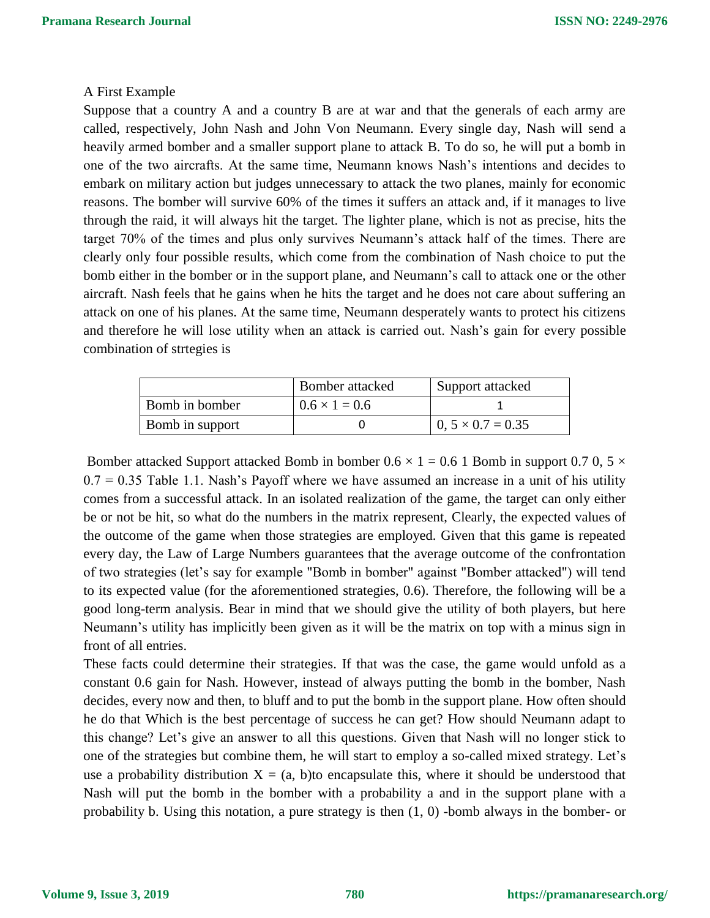#### A First Example

Suppose that a country A and a country B are at war and that the generals of each army are called, respectively, John Nash and John Von Neumann. Every single day, Nash will send a heavily armed bomber and a smaller support plane to attack B. To do so, he will put a bomb in one of the two aircrafts. At the same time, Neumann knows Nash's intentions and decides to embark on military action but judges unnecessary to attack the two planes, mainly for economic reasons. The bomber will survive 60% of the times it suffers an attack and, if it manages to live through the raid, it will always hit the target. The lighter plane, which is not as precise, hits the target 70% of the times and plus only survives Neumann's attack half of the times. There are clearly only four possible results, which come from the combination of Nash choice to put the bomb either in the bomber or in the support plane, and Neumann's call to attack one or the other aircraft. Nash feels that he gains when he hits the target and he does not care about suffering an attack on one of his planes. At the same time, Neumann desperately wants to protect his citizens and therefore he will lose utility when an attack is carried out. Nash's gain for every possible combination of strtegies is

|                        | Bomber attacked      | Support attacked         |
|------------------------|----------------------|--------------------------|
| Bomb in bomber         | $0.6 \times 1 = 0.6$ |                          |
| <b>Bomb</b> in support |                      | $0, 5 \times 0.7 = 0.35$ |

Bomber attacked Support attacked Bomb in bomber  $0.6 \times 1 = 0.6$  1 Bomb in support 0.7 0, 5  $\times$  $0.7 = 0.35$  Table 1.1. Nash's Payoff where we have assumed an increase in a unit of his utility comes from a successful attack. In an isolated realization of the game, the target can only either be or not be hit, so what do the numbers in the matrix represent, Clearly, the expected values of the outcome of the game when those strategies are employed. Given that this game is repeated every day, the Law of Large Numbers guarantees that the average outcome of the confrontation of two strategies (let's say for example "Bomb in bomber" against "Bomber attacked") will tend to its expected value (for the aforementioned strategies, 0.6). Therefore, the following will be a good long-term analysis. Bear in mind that we should give the utility of both players, but here Neumann's utility has implicitly been given as it will be the matrix on top with a minus sign in front of all entries.

These facts could determine their strategies. If that was the case, the game would unfold as a constant 0.6 gain for Nash. However, instead of always putting the bomb in the bomber, Nash decides, every now and then, to bluff and to put the bomb in the support plane. How often should he do that Which is the best percentage of success he can get? How should Neumann adapt to this change? Let's give an answer to all this questions. Given that Nash will no longer stick to one of the strategies but combine them, he will start to employ a so-called mixed strategy. Let's use a probability distribution  $X = (a, b)$  to encapsulate this, where it should be understood that Nash will put the bomb in the bomber with a probability a and in the support plane with a probability b. Using this notation, a pure strategy is then (1, 0) -bomb always in the bomber- or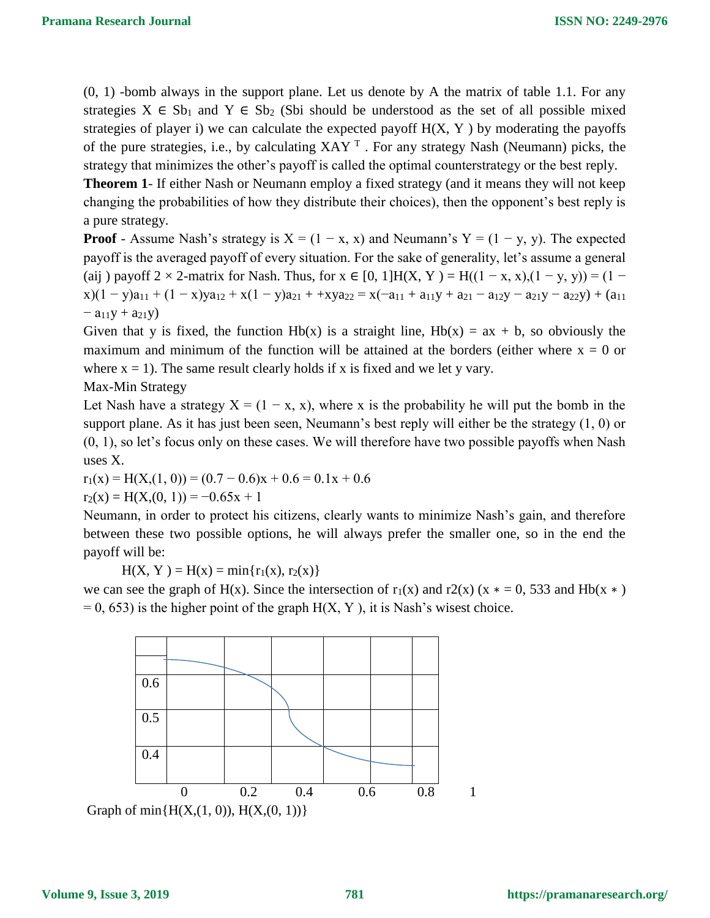(0, 1) -bomb always in the support plane. Let us denote by A the matrix of table 1.1. For any strategies  $X \in Sb_1$  and  $Y \in Sb_2$  (Sbi should be understood as the set of all possible mixed strategies of player i) we can calculate the expected payoff  $H(X, Y)$  by moderating the payoffs of the pure strategies, i.e., by calculating  $XAY<sup>T</sup>$ . For any strategy Nash (Neumann) picks, the strategy that minimizes the other's payoff is called the optimal counterstrategy or the best reply.

**Theorem 1**- If either Nash or Neumann employ a fixed strategy (and it means they will not keep changing the probabilities of how they distribute their choices), then the opponent's best reply is a pure strategy.

**Proof** - Assume Nash's strategy is  $X = (1 - x, x)$  and Neumann's  $Y = (1 - y, y)$ . The expected payoff is the averaged payoff of every situation. For the sake of generality, let's assume a general (aij) payoff 2 × 2-matrix for Nash. Thus, for  $x \in [0, 1]$ H(X, Y) = H((1 – x, x),(1 – y, y)) = (1 –  $x(1 - y)a_{11} + (1 - x)ya_{12} + x(1 - y)a_{21} + xya_{22} = x(-a_{11} + a_{11}y + a_{21} - a_{12}y - a_{21}y - a_{22}y) + (a_{11}$  $-$  a<sub>11</sub>y + a<sub>21</sub>y)

Given that y is fixed, the function  $Hb(x)$  is a straight line,  $Hb(x) = ax + b$ , so obviously the maximum and minimum of the function will be attained at the borders (either where  $x = 0$  or where  $x = 1$ ). The same result clearly holds if x is fixed and we let y vary.

Max-Min Strategy

Let Nash have a strategy  $X = (1 - x, x)$ , where x is the probability he will put the bomb in the support plane. As it has just been seen, Neumann's best reply will either be the strategy (1, 0) or (0, 1), so let's focus only on these cases. We will therefore have two possible payoffs when Nash uses X.

 $r_1(x) = H(X(1, 0)) = (0.7 - 0.6)x + 0.6 = 0.1x + 0.6$ 

$$
r_2(x) = H(X, (0, 1)) = -0.65x + 1
$$

Neumann, in order to protect his citizens, clearly wants to minimize Nash's gain, and therefore between these two possible options, he will always prefer the smaller one, so in the end the payoff will be:

 $H(X, Y) = H(x) = min{r<sub>1</sub>(x), r<sub>2</sub>(x)}$ 

we can see the graph of H(x). Since the intersection of  $r_1(x)$  and  $r_2(x)$  (x  $* = 0$ , 533 and Hb(x  $*$ )  $= 0$ , 653) is the higher point of the graph  $H(X, Y)$ , it is Nash's wisest choice.

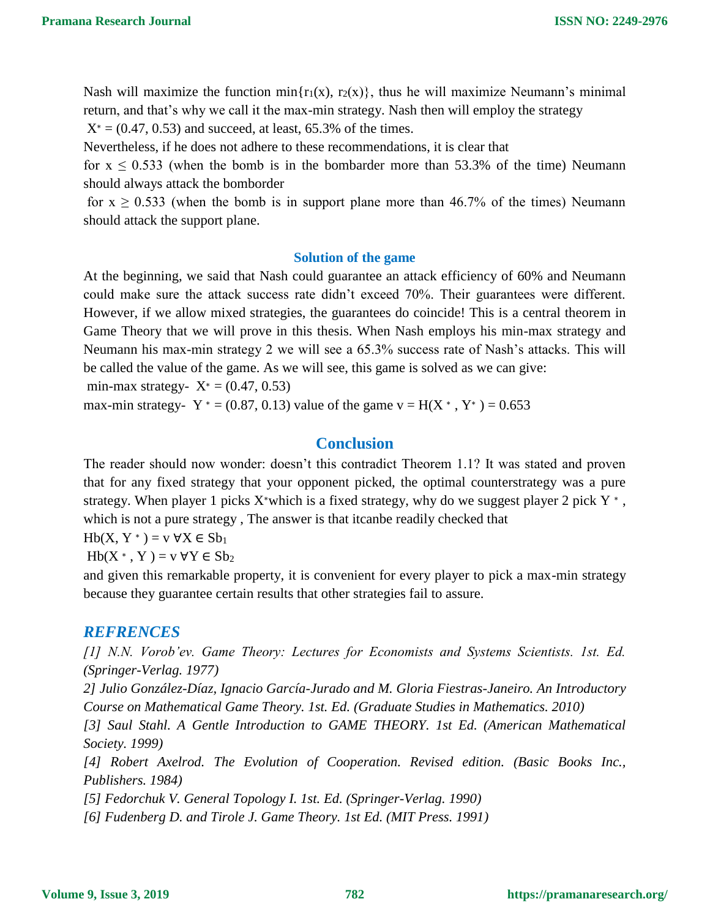Nash will maximize the function min $\{r_1(x), r_2(x)\}$ , thus he will maximize Neumann's minimal return, and that's why we call it the max-min strategy. Nash then will employ the strategy  $X^* = (0.47, 0.53)$  and succeed, at least, 65.3% of the times.

Nevertheless, if he does not adhere to these recommendations, it is clear that

for  $x \le 0.533$  (when the bomb is in the bombarder more than 53.3% of the time) Neumann should always attack the bomborder

for  $x \ge 0.533$  (when the bomb is in support plane more than 46.7% of the times) Neumann should attack the support plane.

#### **Solution of the game**

At the beginning, we said that Nash could guarantee an attack efficiency of 60% and Neumann could make sure the attack success rate didn't exceed 70%. Their guarantees were different. However, if we allow mixed strategies, the guarantees do coincide! This is a central theorem in Game Theory that we will prove in this thesis. When Nash employs his min-max strategy and Neumann his max-min strategy 2 we will see a 65.3% success rate of Nash's attacks. This will be called the value of the game. As we will see, this game is solved as we can give:

min-max strategy-  $X^* = (0.47, 0.53)$ 

max-min strategy-  $Y^* = (0.87, 0.13)$  value of the game  $v = H(X^*, Y^*) = 0.653$ 

# **Conclusion**

The reader should now wonder: doesn't this contradict Theorem 1.1? It was stated and proven that for any fixed strategy that your opponent picked, the optimal counterstrategy was a pure strategy. When player 1 picks  $X^*$ which is a fixed strategy, why do we suggest player 2 pick  $Y^*$ , which is not a pure strategy , The answer is that itcanbe readily checked that

 $Hb(X, Y^*) = v \forall X \in Sb_1$ 

 $Hb(X^*, Y) = v \forall Y \in Sb_2$ 

and given this remarkable property, it is convenient for every player to pick a max-min strategy because they guarantee certain results that other strategies fail to assure.

### *REFRENCES*

*[1] N.N. Vorob'ev. Game Theory: Lectures for Economists and Systems Scientists. 1st. Ed. (Springer-Verlag. 1977)*

*2] Julio González-Díaz, Ignacio García-Jurado and M. Gloria Fiestras-Janeiro. An Introductory Course on Mathematical Game Theory. 1st. Ed. (Graduate Studies in Mathematics. 2010)*

*[3] Saul Stahl. A Gentle Introduction to GAME THEORY. 1st Ed. (American Mathematical Society. 1999)*

*[4] Robert Axelrod. The Evolution of Cooperation. Revised edition. (Basic Books Inc., Publishers. 1984)*

*[5] Fedorchuk V. General Topology I. 1st. Ed. (Springer-Verlag. 1990)*

*[6] Fudenberg D. and Tirole J. Game Theory. 1st Ed. (MIT Press. 1991)*